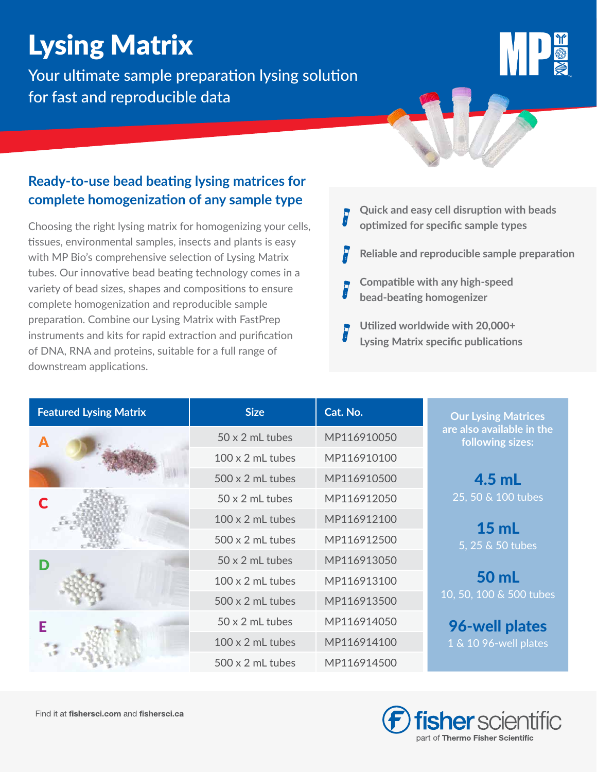## Lysing Matrix

Your ultimate sample preparation lysing solution for fast and reproducible data

## **Ready-to-use bead beating lysing matrices for complete homogenization of any sample type**

Choosing the right lysing matrix for homogenizing your cells, tissues, environmental samples, insects and plants is easy with MP Bio's comprehensive selection of Lysing Matrix tubes. Our innovative bead beating technology comes in a variety of bead sizes, shapes and compositions to ensure complete homogenization and reproducible sample preparation. Combine our Lysing Matrix with FastPrep instruments and kits for rapid extraction and purification of DNA, RNA and proteins, suitable for a full range of downstream applications.

- **Quick and easy cell disruption with beads optimized for specific sample types**
- **Reliable and reproducible sample preparation**
- **Compatible with any high-speed bead-beating homogenizer**
- **Utilized worldwide with 20,000+ Lysing Matrix specific publications**

| <b>Featured Lysing Matrix</b> | <b>Size</b>             | Cat. No.                                      | <b>Our Lysing Matrices</b> |  |  |  |  |
|-------------------------------|-------------------------|-----------------------------------------------|----------------------------|--|--|--|--|
|                               | $50 \times 2$ mL tubes  | are also available in the<br>following sizes: |                            |  |  |  |  |
|                               | $100 \times 2$ mL tubes | MP116910100                                   |                            |  |  |  |  |
|                               | $500 \times 2$ mL tubes | MP116910500                                   | $4.5$ mL                   |  |  |  |  |
|                               | $50 \times 2$ mL tubes  | MP116912050                                   | 25, 50 & 100 tubes         |  |  |  |  |
|                               | $100 \times 2$ mL tubes | 15 <sub>ml</sub><br>5, 25 & 50 tubes          |                            |  |  |  |  |
|                               | $500 \times 2$ mL tubes |                                               |                            |  |  |  |  |
|                               | $50 \times 2$ mL tubes  | MP116913050                                   |                            |  |  |  |  |
|                               | $100 \times 2$ mL tubes | 50 mL                                         |                            |  |  |  |  |
|                               | $500 \times 2$ mL tubes | MP116913500                                   | 10, 50, 100 & 500 tubes    |  |  |  |  |
| Е                             | 50 x 2 mL tubes         | MP116914050                                   | 96-well plates             |  |  |  |  |
|                               | $100 \times 2$ mL tubes | MP116914100                                   | 1 & 10 96-well plates      |  |  |  |  |
|                               | $500 \times 2$ mL tubes | MP116914500                                   |                            |  |  |  |  |